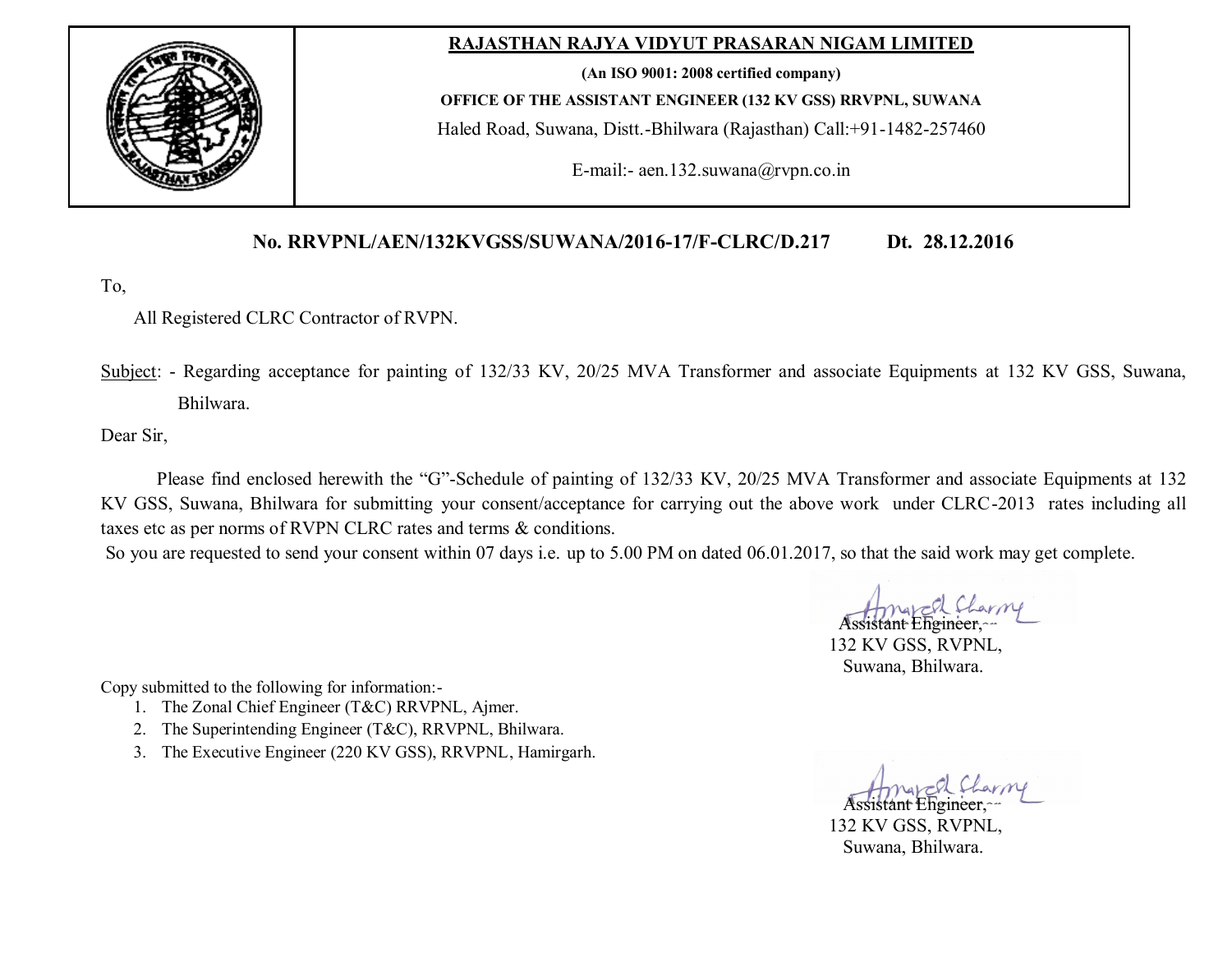

## **RAJASTHAN RAJYA VIDYUT PRASARAN NIGAM LIMITED**

**(An ISO 9001: 2008 certified company)**

**OFFICE OF THE ASSISTANT ENGINEER (132 KV GSS) RRVPNL, SUWANA**

Haled Road, Suwana, Distt.-Bhilwara (Rajasthan) Call:+91-1482-257460

E-mail:- aen.132.suwana@rvpn.co.in

## **No. RRVPNL/AEN/132KVGSS/SUWANA/2016-17/F-CLRC/D.217 Dt. 28.12.2016**

To,

All Registered CLRC Contractor of RVPN.

Subject: - Regarding acceptance for painting of 132/33 KV, 20/25 MVA Transformer and associate Equipments at 132 KV GSS, Suwana, Bhilwara.

Dear Sir,

Please find enclosed herewith the "G"-Schedule of painting of 132/33 KV, 20/25 MVA Transformer and associate Equipments at 132 KV GSS, Suwana, Bhilwara for submitting your consent/acceptance for carrying out the above work under CLRC-2013 rates including all taxes etc as per norms of RVPN CLRC rates and terms & conditions.

So you are requested to send your consent within 07 days i.e. up to 5.00 PM on dated 06.01.2017, so that the said work may get complete.

Assistant Engineer,

 132 KV GSS, RVPNL, Suwana, Bhilwara.

Copy submitted to the following for information:-

- 1. The Zonal Chief Engineer (T&C) RRVPNL, Ajmer.
- 2. The Superintending Engineer (T&C), RRVPNL, Bhilwara.
- 3. The Executive Engineer (220 KV GSS), RRVPNL, Hamirgarh.

Assistant Engineer,

 132 KV GSS, RVPNL, Suwana, Bhilwara.